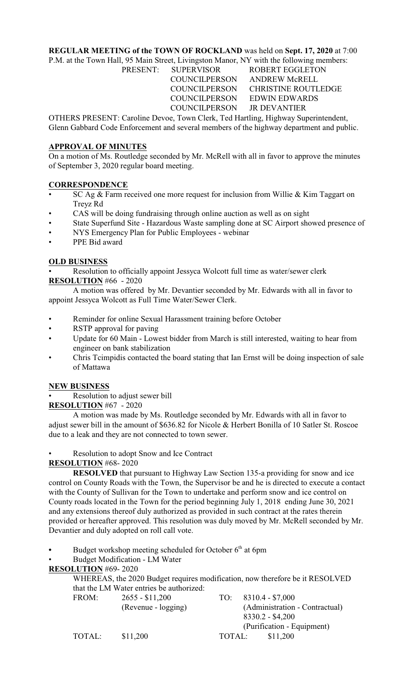## **REGULAR MEETING of the TOWN OF ROCKLAND** was held on **Sept. 17, 2020** at 7:00

P.M. at the Town Hall, 95 Main Street, Livingston Manor, NY with the following members: PRESENT: SUPERVISOR ROBERT EGGLETON

COUNCILPERSON JR DEVANTIER

 COUNCILPERSON ANDREW McRELL COUNCILPERSON CHRISTINE ROUTLEDGE COUNCILPERSON EDWIN EDWARDS

OTHERS PRESENT: Caroline Devoe, Town Clerk, Ted Hartling, Highway Superintendent, Glenn Gabbard Code Enforcement and several members of the highway department and public.

## **APPROVAL OF MINUTES**

On a motion of Ms. Routledge seconded by Mr. McRell with all in favor to approve the minutes of September 3, 2020 regular board meeting.

# **CORRESPONDENCE**

- SC Ag & Farm received one more request for inclusion from Willie & Kim Taggart on Treyz Rd
- CAS will be doing fundraising through online auction as well as on sight
- State Superfund Site Hazardous Waste sampling done at SC Airport showed presence of
- NYS Emergency Plan for Public Employees webinar
- PPE Bid award

# **OLD BUSINESS**

• Resolution to officially appoint Jessyca Wolcott full time as water/sewer clerk **RESOLUTION** #66 - 2020

A motion was offered by Mr. Devantier seconded by Mr. Edwards with all in favor to appoint Jessyca Wolcott as Full Time Water/Sewer Clerk.

- Reminder for online Sexual Harassment training before October
- RSTP approval for paving
- Update for 60 Main Lowest bidder from March is still interested, waiting to hear from engineer on bank stabilization
- Chris Tcimpidis contacted the board stating that Ian Ernst will be doing inspection of sale of Mattawa

# **NEW BUSINESS**

Resolution to adjust sewer bill

**RESOLUTION** #67 - 2020

A motion was made by Ms. Routledge seconded by Mr. Edwards with all in favor to adjust sewer bill in the amount of \$636.82 for Nicole & Herbert Bonilla of 10 Satler St. Roscoe due to a leak and they are not connected to town sewer.

## • Resolution to adopt Snow and Ice Contract

**RESOLUTION** #68- 2020

**RESOLVED** that pursuant to Highway Law Section 135-a providing for snow and ice control on County Roads with the Town, the Supervisor be and he is directed to execute a contact with the County of Sullivan for the Town to undertake and perform snow and ice control on County roads located in the Town for the period beginning July 1, 2018 ending June 30, 2021 and any extensions thereof duly authorized as provided in such contract at the rates therein provided or hereafter approved. This resolution was duly moved by Mr. McRell seconded by Mr. Devantier and duly adopted on roll call vote.

Budget workshop meeting scheduled for October 6<sup>th</sup> at 6pm

• Budget Modification - LM Water

## **RESOLUTION** #69- 2020

WHEREAS, the 2020 Budget requires modification, now therefore be it RESOLVED that the LM Water entries be authorized:

| FROM:  | $2655 - $11,200$    |                            | TO: $8310.4 - $7,000$          |  |
|--------|---------------------|----------------------------|--------------------------------|--|
|        | (Revenue - logging) |                            | (Administration - Contractual) |  |
|        |                     |                            | $8330.2 - $4,200$              |  |
|        |                     | (Purification - Equipment) |                                |  |
| TOTAL: | \$11,200            | TOTAL:                     | \$11,200                       |  |